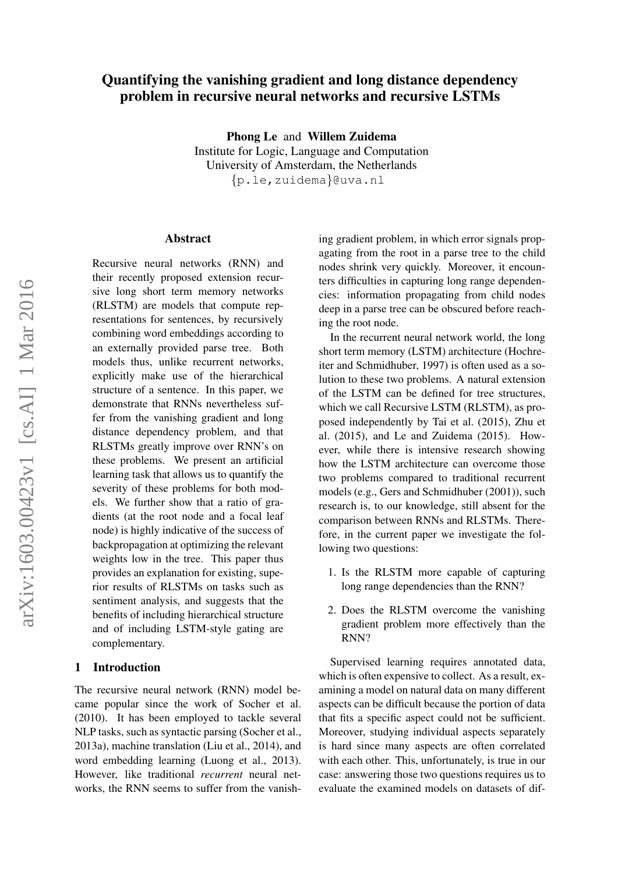# Quantifying the vanishing gradient and long distance dependency problem in recursive neural networks and recursive LSTMs

Phong Le and Willem Zuidema Institute for Logic, Language and Computation University of Amsterdam, the Netherlands {p.le,zuidema}@uva.nl

#### Abstract

Recursive neural networks (RNN) and their recently proposed extension recursive long short term memory networks (RLSTM) are models that compute representations for sentences, by recursively combining word embeddings according to an externally provided parse tree. Both models thus, unlike recurrent networks, explicitly make use of the hierarchical structure of a sentence. In this paper, we demonstrate that RNNs nevertheless suffer from the vanishing gradient and long distance dependency problem, and that RLSTMs greatly improve over RNN's on these problems. We present an artificial learning task that allows us to quantify the severity of these problems for both models. We further show that a ratio of gradients (at the root node and a focal leaf node) is highly indicative of the success of backpropagation at optimizing the relevant weights low in the tree. This paper thus provides an explanation for existing, superior results of RLSTMs on tasks such as sentiment analysis, and suggests that the benefits of including hierarchical structure and of including LSTM-style gating are complementary.

#### 1 Introduction

The recursive neural network (RNN) model became popular since the work of Socher et al. (2010). It has been employed to tackle several NLP tasks, such as syntactic parsing (Socher et al., 2013a), machine translation (Liu et al., 2014), and word embedding learning (Luong et al., 2013). However, like traditional *recurrent* neural networks, the RNN seems to suffer from the vanishing gradient problem, in which error signals propagating from the root in a parse tree to the child nodes shrink very quickly. Moreover, it encounters difficulties in capturing long range dependencies: information propagating from child nodes deep in a parse tree can be obscured before reaching the root node.

In the recurrent neural network world, the long short term memory (LSTM) architecture (Hochreiter and Schmidhuber, 1997) is often used as a solution to these two problems. A natural extension of the LSTM can be defined for tree structures, which we call Recursive LSTM (RLSTM), as proposed independently by Tai et al. (2015), Zhu et al. (2015), and Le and Zuidema (2015). However, while there is intensive research showing how the LSTM architecture can overcome those two problems compared to traditional recurrent models (e.g., Gers and Schmidhuber (2001)), such research is, to our knowledge, still absent for the comparison between RNNs and RLSTMs. Therefore, in the current paper we investigate the following two questions:

- 1. Is the RLSTM more capable of capturing long range dependencies than the RNN?
- 2. Does the RLSTM overcome the vanishing gradient problem more effectively than the RNN?

Supervised learning requires annotated data, which is often expensive to collect. As a result, examining a model on natural data on many different aspects can be difficult because the portion of data that fits a specific aspect could not be sufficient. Moreover, studying individual aspects separately is hard since many aspects are often correlated with each other. This, unfortunately, is true in our case: answering those two questions requires us to evaluate the examined models on datasets of dif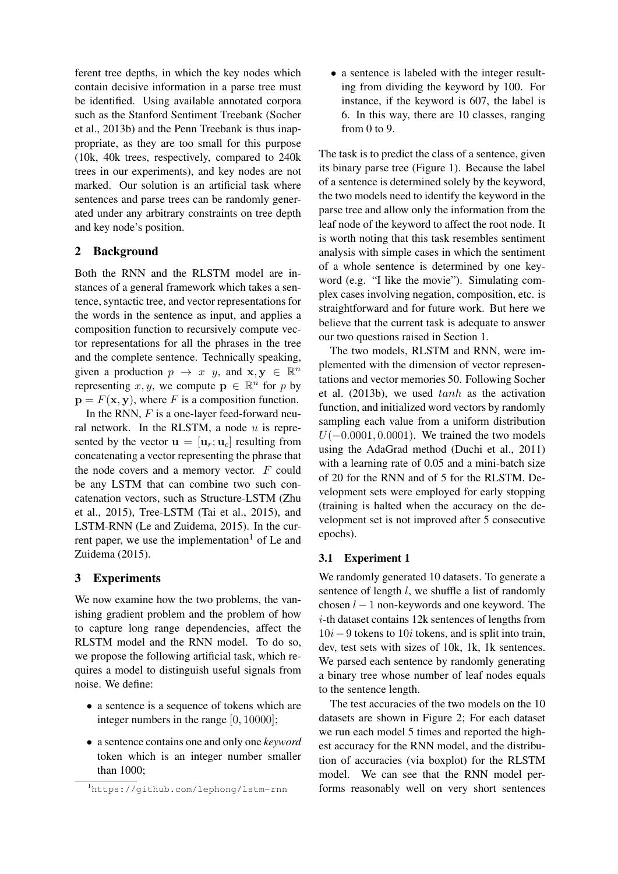ferent tree depths, in which the key nodes which contain decisive information in a parse tree must be identified. Using available annotated corpora such as the Stanford Sentiment Treebank (Socher et al., 2013b) and the Penn Treebank is thus inappropriate, as they are too small for this purpose (10k, 40k trees, respectively, compared to 240k trees in our experiments), and key nodes are not marked. Our solution is an artificial task where sentences and parse trees can be randomly generated under any arbitrary constraints on tree depth and key node's position.

### 2 Background

Both the RNN and the RLSTM model are instances of a general framework which takes a sentence, syntactic tree, and vector representations for the words in the sentence as input, and applies a composition function to recursively compute vector representations for all the phrases in the tree and the complete sentence. Technically speaking, given a production  $p \rightarrow x$  y, and  $\mathbf{x}, \mathbf{y} \in \mathbb{R}^n$ representing x, y, we compute  $\mathbf{p} \in \mathbb{R}^n$  for p by  $\mathbf{p} = F(\mathbf{x}, \mathbf{y})$ , where F is a composition function.

In the RNN,  $F$  is a one-layer feed-forward neural network. In the RLSTM, a node  $u$  is represented by the vector  $\mathbf{u} = [\mathbf{u}_r; \mathbf{u}_c]$  resulting from concatenating a vector representing the phrase that the node covers and a memory vector.  $F$  could be any LSTM that can combine two such concatenation vectors, such as Structure-LSTM (Zhu et al., 2015), Tree-LSTM (Tai et al., 2015), and LSTM-RNN (Le and Zuidema, 2015). In the current paper, we use the implementation<sup>1</sup> of Le and Zuidema (2015).

### 3 Experiments

We now examine how the two problems, the vanishing gradient problem and the problem of how to capture long range dependencies, affect the RLSTM model and the RNN model. To do so, we propose the following artificial task, which requires a model to distinguish useful signals from noise. We define:

- a sentence is a sequence of tokens which are integer numbers in the range [0, 10000];
- a sentence contains one and only one *keyword* token which is an integer number smaller than 1000;

• a sentence is labeled with the integer resulting from dividing the keyword by 100. For instance, if the keyword is 607, the label is 6. In this way, there are 10 classes, ranging from 0 to 9.

The task is to predict the class of a sentence, given its binary parse tree (Figure 1). Because the label of a sentence is determined solely by the keyword, the two models need to identify the keyword in the parse tree and allow only the information from the leaf node of the keyword to affect the root node. It is worth noting that this task resembles sentiment analysis with simple cases in which the sentiment of a whole sentence is determined by one keyword (e.g. "I like the movie"). Simulating complex cases involving negation, composition, etc. is straightforward and for future work. But here we believe that the current task is adequate to answer our two questions raised in Section 1.

The two models, RLSTM and RNN, were implemented with the dimension of vector representations and vector memories 50. Following Socher et al.  $(2013b)$ , we used  $tanh$  as the activation function, and initialized word vectors by randomly sampling each value from a uniform distribution  $U(-0.0001, 0.0001)$ . We trained the two models using the AdaGrad method (Duchi et al., 2011) with a learning rate of 0.05 and a mini-batch size of 20 for the RNN and of 5 for the RLSTM. Development sets were employed for early stopping (training is halted when the accuracy on the development set is not improved after 5 consecutive epochs).

### 3.1 Experiment 1

We randomly generated 10 datasets. To generate a sentence of length *l*, we shuffle a list of randomly chosen  $l - 1$  non-keywords and one keyword. The i-th dataset contains 12k sentences of lengths from  $10i-9$  tokens to  $10i$  tokens, and is split into train, dev, test sets with sizes of 10k, 1k, 1k sentences. We parsed each sentence by randomly generating a binary tree whose number of leaf nodes equals to the sentence length.

The test accuracies of the two models on the 10 datasets are shown in Figure 2; For each dataset we run each model 5 times and reported the highest accuracy for the RNN model, and the distribution of accuracies (via boxplot) for the RLSTM model. We can see that the RNN model performs reasonably well on very short sentences

<sup>1</sup>https://github.com/lephong/lstm-rnn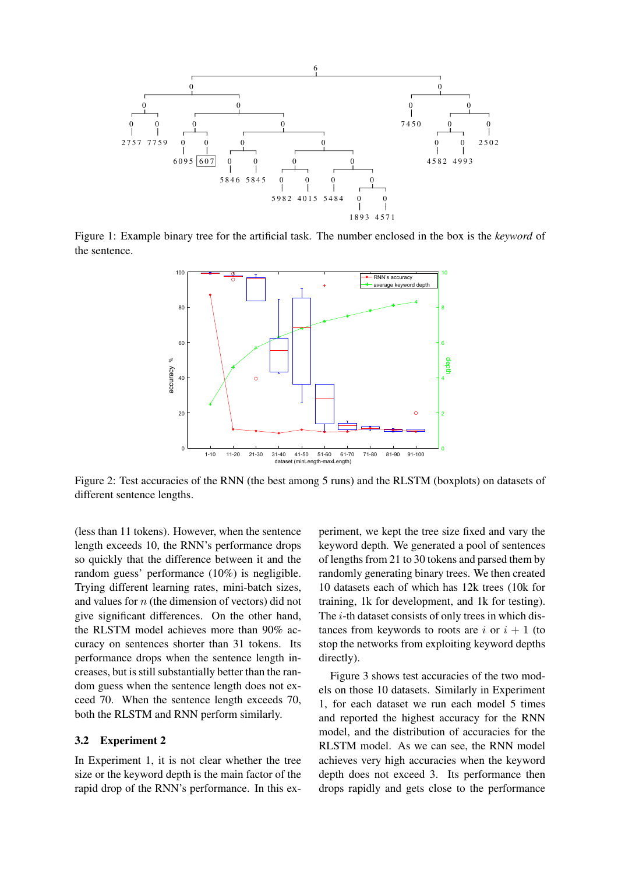

Figure 1: Example binary tree for the artificial task. The number enclosed in the box is the *keyword* of the sentence.



Figure 2: Test accuracies of the RNN (the best among 5 runs) and the RLSTM (boxplots) on datasets of different sentence lengths.

(less than 11 tokens). However, when the sentence length exceeds 10, the RNN's performance drops so quickly that the difference between it and the random guess' performance (10%) is negligible. Trying different learning rates, mini-batch sizes, and values for  $n$  (the dimension of vectors) did not give significant differences. On the other hand, the RLSTM model achieves more than 90% accuracy on sentences shorter than 31 tokens. Its performance drops when the sentence length increases, but is still substantially better than the random guess when the sentence length does not exceed 70. When the sentence length exceeds 70, both the RLSTM and RNN perform similarly.

### 3.2 Experiment 2

In Experiment 1, it is not clear whether the tree size or the keyword depth is the main factor of the rapid drop of the RNN's performance. In this ex-

periment, we kept the tree size fixed and vary the keyword depth. We generated a pool of sentences of lengths from 21 to 30 tokens and parsed them by randomly generating binary trees. We then created 10 datasets each of which has 12k trees (10k for training, 1k for development, and 1k for testing). The *i*-th dataset consists of only trees in which distances from keywords to roots are i or  $i + 1$  (to stop the networks from exploiting keyword depths directly).

Figure 3 shows test accuracies of the two models on those 10 datasets. Similarly in Experiment 1, for each dataset we run each model 5 times and reported the highest accuracy for the RNN model, and the distribution of accuracies for the RLSTM model. As we can see, the RNN model achieves very high accuracies when the keyword depth does not exceed 3. Its performance then drops rapidly and gets close to the performance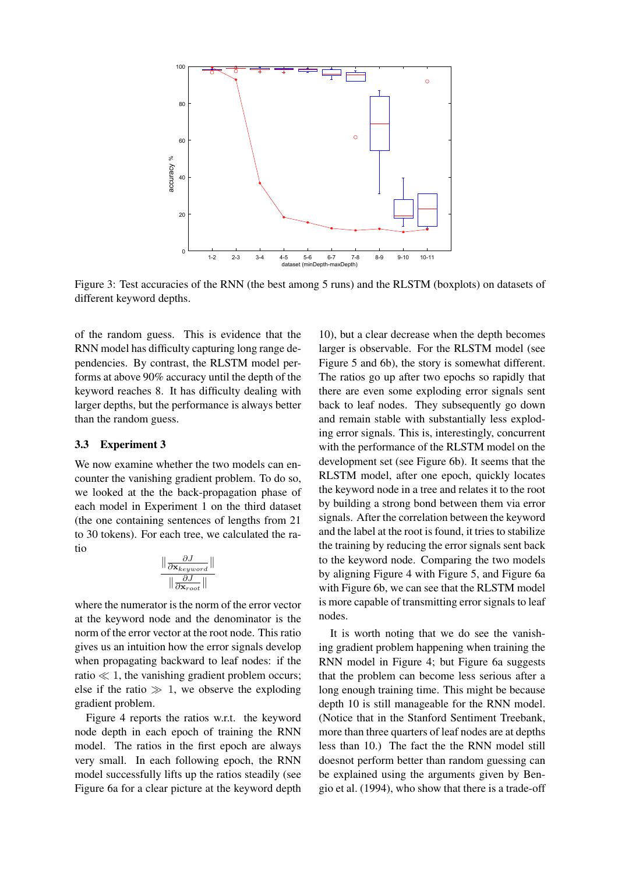

Figure 3: Test accuracies of the RNN (the best among 5 runs) and the RLSTM (boxplots) on datasets of different keyword depths.

of the random guess. This is evidence that the RNN model has difficulty capturing long range dependencies. By contrast, the RLSTM model performs at above 90% accuracy until the depth of the keyword reaches 8. It has difficulty dealing with larger depths, but the performance is always better than the random guess.

#### 3.3 Experiment 3

We now examine whether the two models can encounter the vanishing gradient problem. To do so, we looked at the the back-propagation phase of each model in Experiment 1 on the third dataset (the one containing sentences of lengths from 21 to 30 tokens). For each tree, we calculated the ratio

$$
\frac{\parallel \frac{\partial J}{\partial \mathbf{x}_{keyword}} \parallel}{\parallel \frac{\partial J}{\partial \mathbf{x}_{root}} \parallel}
$$

where the numerator is the norm of the error vector at the keyword node and the denominator is the norm of the error vector at the root node. This ratio gives us an intuition how the error signals develop when propagating backward to leaf nodes: if the ratio  $\ll 1$ , the vanishing gradient problem occurs; else if the ratio  $\gg 1$ , we observe the exploding gradient problem.

Figure 4 reports the ratios w.r.t. the keyword node depth in each epoch of training the RNN model. The ratios in the first epoch are always very small. In each following epoch, the RNN model successfully lifts up the ratios steadily (see Figure 6a for a clear picture at the keyword depth

10), but a clear decrease when the depth becomes larger is observable. For the RLSTM model (see Figure 5 and 6b), the story is somewhat different. The ratios go up after two epochs so rapidly that there are even some exploding error signals sent back to leaf nodes. They subsequently go down and remain stable with substantially less exploding error signals. This is, interestingly, concurrent with the performance of the RLSTM model on the development set (see Figure 6b). It seems that the RLSTM model, after one epoch, quickly locates the keyword node in a tree and relates it to the root by building a strong bond between them via error signals. After the correlation between the keyword and the label at the root is found, it tries to stabilize the training by reducing the error signals sent back to the keyword node. Comparing the two models by aligning Figure 4 with Figure 5, and Figure 6a with Figure 6b, we can see that the RLSTM model is more capable of transmitting error signals to leaf nodes.

It is worth noting that we do see the vanishing gradient problem happening when training the RNN model in Figure 4; but Figure 6a suggests that the problem can become less serious after a long enough training time. This might be because depth 10 is still manageable for the RNN model. (Notice that in the Stanford Sentiment Treebank, more than three quarters of leaf nodes are at depths less than 10.) The fact the the RNN model still doesnot perform better than random guessing can be explained using the arguments given by Bengio et al. (1994), who show that there is a trade-off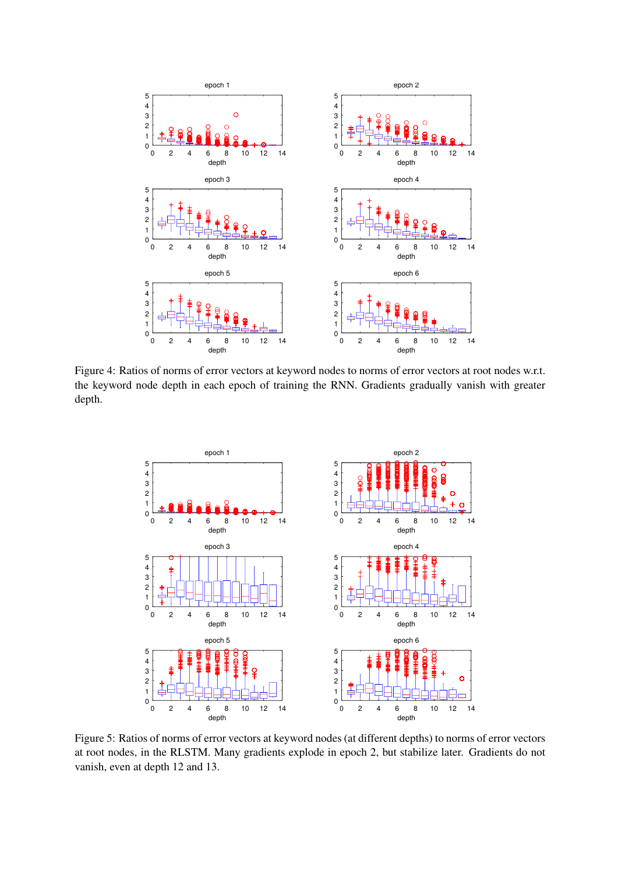

Figure 4: Ratios of norms of error vectors at keyword nodes to norms of error vectors at root nodes w.r.t. the keyword node depth in each epoch of training the RNN. Gradients gradually vanish with greater depth.



Figure 5: Ratios of norms of error vectors at keyword nodes (at different depths) to norms of error vectors at root nodes, in the RLSTM. Many gradients explode in epoch 2, but stabilize later. Gradients do not vanish, even at depth 12 and 13.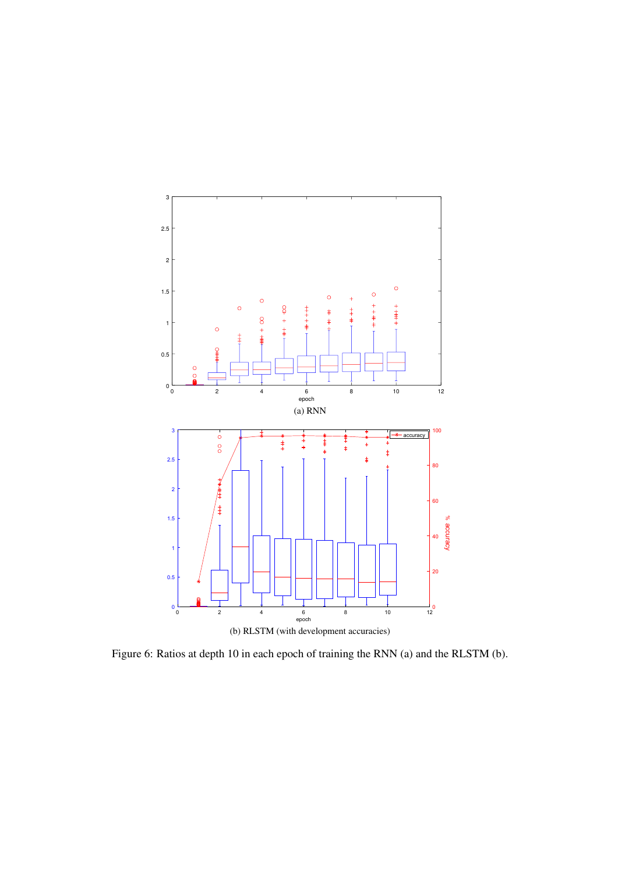

Figure 6: Ratios at depth 10 in each epoch of training the RNN (a) and the RLSTM (b).